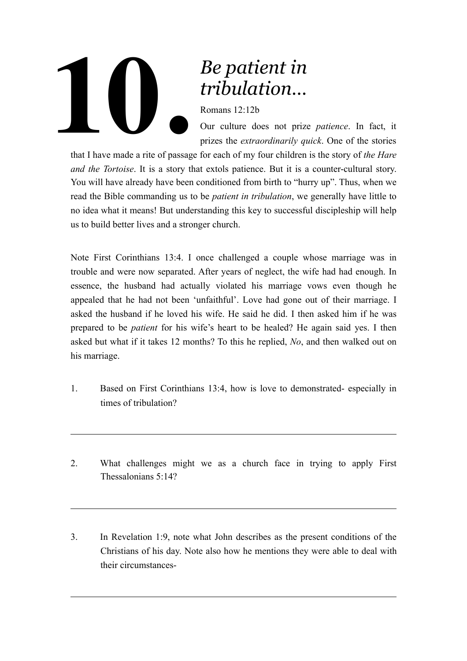

## *Be patient in tribulation…*

Romans 12:12b

Our culture does not prize *patience*. In fact, it prizes the *extraordinarily quick*. One of the stories

that I have made a rite of passage for each of my four children is the story of *the Hare and the Tortoise*. It is a story that extols patience. But it is a counter-cultural story. You will have already have been conditioned from birth to "hurry up". Thus, when we read the Bible commanding us to be *patient in tribulation*, we generally have little to no idea what it means! But understanding this key to successful discipleship will help us to build better lives and a stronger church.

Note First Corinthians 13:4. I once challenged a couple whose marriage was in trouble and were now separated. After years of neglect, the wife had had enough. In essence, the husband had actually violated his marriage vows even though he appealed that he had not been 'unfaithful'. Love had gone out of their marriage. I asked the husband if he loved his wife. He said he did. I then asked him if he was prepared to be *patient* for his wife's heart to be healed? He again said yes. I then asked but what if it takes 12 months? To this he replied, *No*, and then walked out on his marriage.

- 1. Based on First Corinthians 13:4, how is love to demonstrated- especially in times of tribulation?
- 2. What challenges might we as a church face in trying to apply First Thessalonians 5:14?
- 3. In Revelation 1:9, note what John describes as the present conditions of the Christians of his day. Note also how he mentions they were able to deal with their circumstances-